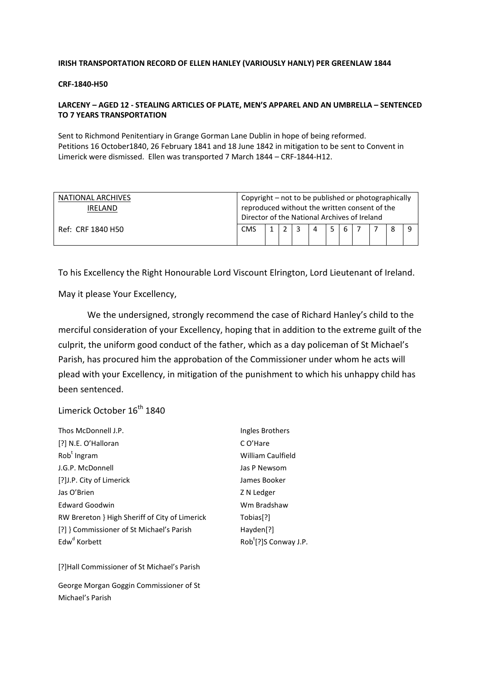#### IRISH TRANSPORTATION RECORD OF ELLEN HANLEY (VARIOUSLY HANLY) PER GREENLAW 1844

#### CRF-1840-H50

## LARCENY – AGED 12 - STEALING ARTICLES OF PLATE, MEN'S APPAREL AND AN UMBRELLA – SENTENCED TO 7 YEARS TRANSPORTATION

Sent to Richmond Penitentiary in Grange Gorman Lane Dublin in hope of being reformed. Petitions 16 October1840, 26 February 1841 and 18 June 1842 in mitigation to be sent to Convent in Limerick were dismissed. Ellen was transported 7 March 1844 – CRF-1844-H12.

| NATIONAL ARCHIVES | Copyright – not to be published or photographically |  |  |  |   |  |   |  |  |  |  |
|-------------------|-----------------------------------------------------|--|--|--|---|--|---|--|--|--|--|
| <b>IRELAND</b>    | reproduced without the written consent of the       |  |  |  |   |  |   |  |  |  |  |
|                   | Director of the National Archives of Ireland        |  |  |  |   |  |   |  |  |  |  |
| Ref: CRF 1840 H50 | <b>CMS</b>                                          |  |  |  | 4 |  | 6 |  |  |  |  |

To his Excellency the Right Honourable Lord Viscount Elrington, Lord Lieutenant of Ireland.

May it please Your Excellency,

 We the undersigned, strongly recommend the case of Richard Hanley's child to the merciful consideration of your Excellency, hoping that in addition to the extreme guilt of the culprit, the uniform good conduct of the father, which as a day policeman of St Michael's Parish, has procured him the approbation of the Commissioner under whom he acts will plead with your Excellency, in mitigation of the punishment to which his unhappy child has been sentenced.

Limerick October 16<sup>th</sup> 1840

| Thos McDonnell J.P.                            | Ingles Brothers                   |
|------------------------------------------------|-----------------------------------|
| [?] N.E. O'Halloran                            | C O'Hare                          |
| Rob <sup>t</sup> Ingram                        | William Caulfield                 |
| J.G.P. McDonnell                               | Jas P Newsom                      |
| [?]J.P. City of Limerick                       | James Booker                      |
| Jas O'Brien                                    | Z N Ledger                        |
| <b>Edward Goodwin</b>                          | Wm Bradshaw                       |
| RW Brereton } High Sheriff of City of Limerick | Tobias <sup>[?]</sup>             |
| [?] } Commissioner of St Michael's Parish      | Hayden[?]                         |
| Edw <sup>d</sup> Korbett                       | Rob <sup>t</sup> [?]S Conway J.P. |

[?]Hall Commissioner of St Michael's Parish

George Morgan Goggin Commissioner of St Michael's Parish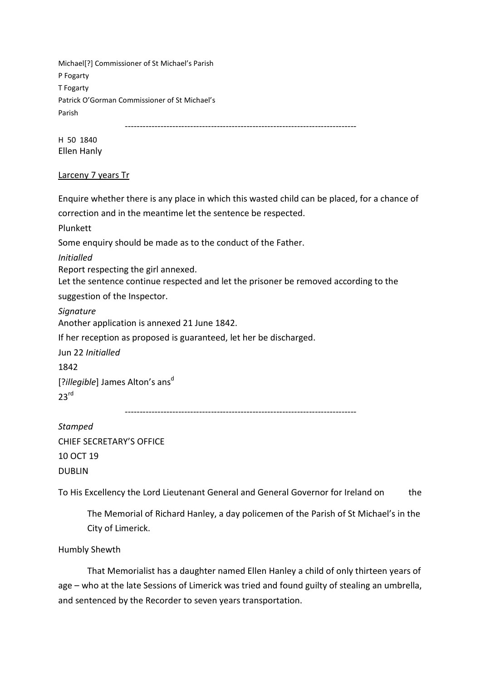Michael[?] Commissioner of St Michael's Parish P Fogarty T Fogarty Patrick O'Gorman Commissioner of St Michael's Parish

------------------------------------------------------------------------------

H 50 1840 Ellen Hanly

## Larceny 7 years Tr

Enquire whether there is any place in which this wasted child can be placed, for a chance of

correction and in the meantime let the sentence be respected.

Plunkett

Some enquiry should be made as to the conduct of the Father.

Initialled

Report respecting the girl annexed.

Let the sentence continue respected and let the prisoner be removed according to the

suggestion of the Inspector.

**Signature** 

Another application is annexed 21 June 1842.

If her reception as proposed is guaranteed, let her be discharged.

Jun 22 Initialled

1842

[?*illegible*] James Alton's ans<sup>d</sup>  $23<sup>rd</sup>$ 

------------------------------------------------------------------------------

Stamped CHIEF SECRETARY'S OFFICE 10 OCT 19 DUBLIN

To His Excellency the Lord Lieutenant General and General Governor for Ireland on the

The Memorial of Richard Hanley, a day policemen of the Parish of St Michael's in the City of Limerick.

Humbly Shewth

 That Memorialist has a daughter named Ellen Hanley a child of only thirteen years of age – who at the late Sessions of Limerick was tried and found guilty of stealing an umbrella, and sentenced by the Recorder to seven years transportation.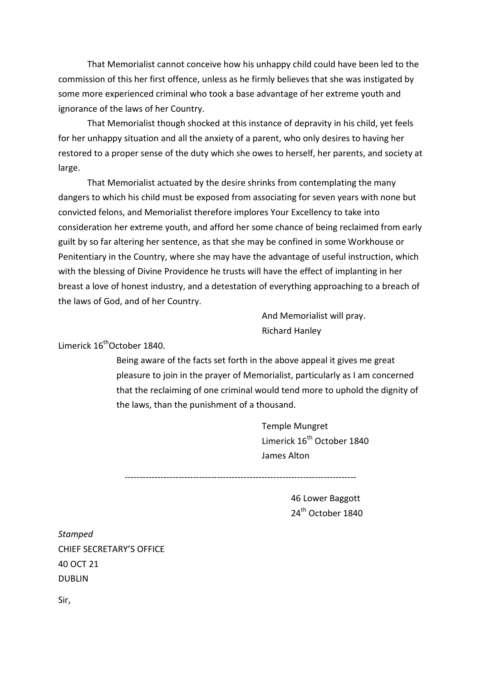That Memorialist cannot conceive how his unhappy child could have been led to the commission of this her first offence, unless as he firmly believes that she was instigated by some more experienced criminal who took a base advantage of her extreme youth and ignorance of the laws of her Country.

 That Memorialist though shocked at this instance of depravity in his child, yet feels for her unhappy situation and all the anxiety of a parent, who only desires to having her restored to a proper sense of the duty which she owes to herself, her parents, and society at large.

 That Memorialist actuated by the desire shrinks from contemplating the many dangers to which his child must be exposed from associating for seven years with none but convicted felons, and Memorialist therefore implores Your Excellency to take into consideration her extreme youth, and afford her some chance of being reclaimed from early guilt by so far altering her sentence, as that she may be confined in some Workhouse or Penitentiary in the Country, where she may have the advantage of useful instruction, which with the blessing of Divine Providence he trusts will have the effect of implanting in her breast a love of honest industry, and a detestation of everything approaching to a breach of the laws of God, and of her Country.

> And Memorialist will pray. Richard Hanley

# Limerick 16<sup>th</sup>October 1840.

Being aware of the facts set forth in the above appeal it gives me great pleasure to join in the prayer of Memorialist, particularly as I am concerned that the reclaiming of one criminal would tend more to uphold the dignity of the laws, than the punishment of a thousand.

> Temple Mungret Limerick 16<sup>th</sup> October 1840 James Alton

------------------------------------------------------------------------------

46 Lower Baggott 24<sup>th</sup> October 1840

**Stamped** CHIEF SECRETARY'S OFFICE 40 OCT 21 DUBLIN Sir,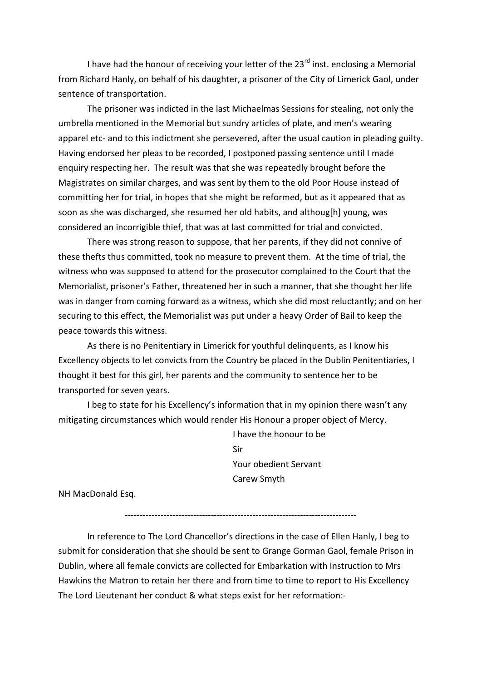I have had the honour of receiving your letter of the  $23<sup>rd</sup>$  inst. enclosing a Memorial from Richard Hanly, on behalf of his daughter, a prisoner of the City of Limerick Gaol, under sentence of transportation.

 The prisoner was indicted in the last Michaelmas Sessions for stealing, not only the umbrella mentioned in the Memorial but sundry articles of plate, and men's wearing apparel etc- and to this indictment she persevered, after the usual caution in pleading guilty. Having endorsed her pleas to be recorded, I postponed passing sentence until I made enquiry respecting her. The result was that she was repeatedly brought before the Magistrates on similar charges, and was sent by them to the old Poor House instead of committing her for trial, in hopes that she might be reformed, but as it appeared that as soon as she was discharged, she resumed her old habits, and althoug[h] young, was considered an incorrigible thief, that was at last committed for trial and convicted.

 There was strong reason to suppose, that her parents, if they did not connive of these thefts thus committed, took no measure to prevent them. At the time of trial, the witness who was supposed to attend for the prosecutor complained to the Court that the Memorialist, prisoner's Father, threatened her in such a manner, that she thought her life was in danger from coming forward as a witness, which she did most reluctantly; and on her securing to this effect, the Memorialist was put under a heavy Order of Bail to keep the peace towards this witness.

 As there is no Penitentiary in Limerick for youthful delinquents, as I know his Excellency objects to let convicts from the Country be placed in the Dublin Penitentiaries, I thought it best for this girl, her parents and the community to sentence her to be transported for seven years.

I beg to state for his Excellency's information that in my opinion there wasn't any mitigating circumstances which would render His Honour a proper object of Mercy.

> I have the honour to be Sir Your obedient Servant Carew Smyth

NH MacDonald Esq.

------------------------------------------------------------------------------

In reference to The Lord Chancellor's directions in the case of Ellen Hanly, I beg to submit for consideration that she should be sent to Grange Gorman Gaol, female Prison in Dublin, where all female convicts are collected for Embarkation with Instruction to Mrs Hawkins the Matron to retain her there and from time to time to report to His Excellency The Lord Lieutenant her conduct & what steps exist for her reformation:-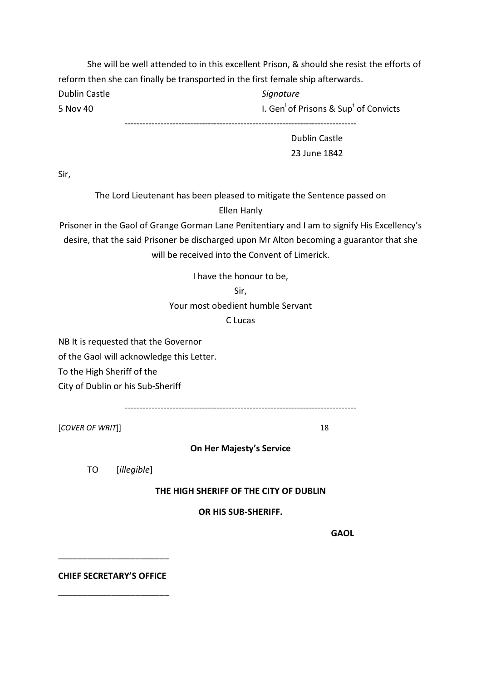She will be well attended to in this excellent Prison, & should she resist the efforts of reform then she can finally be transported in the first female ship afterwards. Dublin Castle **Signature** Signature 5 Nov 40 **I. Gen<sup>l</sup> of Prisons & Sup<sup>t</sup> of Convicts** 

------------------------------------------------------------------------------

Dublin Castle 23 June 1842

Sir,

The Lord Lieutenant has been pleased to mitigate the Sentence passed on Ellen Hanly

Prisoner in the Gaol of Grange Gorman Lane Penitentiary and I am to signify His Excellency's desire, that the said Prisoner be discharged upon Mr Alton becoming a guarantor that she will be received into the Convent of Limerick

I have the honour to be,

Sir,

Your most obedient humble Servant

C Lucas

NB It is requested that the Governor

of the Gaol will acknowledge this Letter.

To the High Sheriff of the

City of Dublin or his Sub-Sheriff

------------------------------------------------------------------------------

[COVER OF WRIT]] 18

On Her Majesty's Service

TO [illegible]

THE HIGH SHERIFF OF THE CITY OF DUBLIN

OR HIS SUB-SHERIFF.

gang and the control of the control of the control of the control of the control of the control of the control of the control of the control of the control of the control of the control of the control of the control of the

CHIEF SECRETARY'S OFFICE

\_\_\_\_\_\_\_\_\_\_\_\_\_\_\_\_\_\_\_\_\_\_\_

\_\_\_\_\_\_\_\_\_\_\_\_\_\_\_\_\_\_\_\_\_\_\_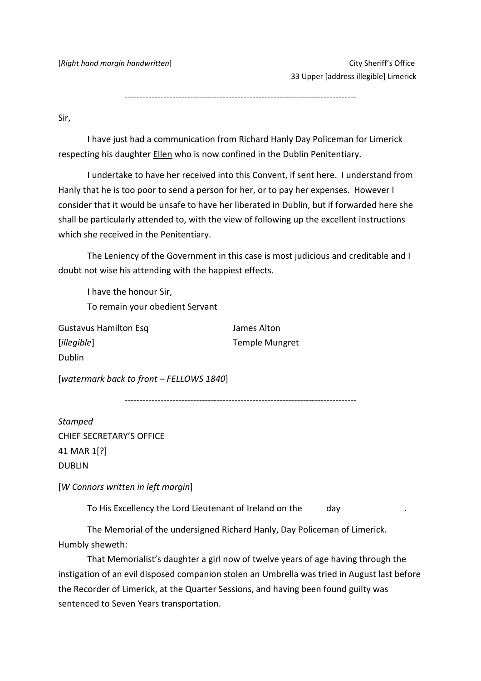[Right hand margin handwritten] example that the control of the City Sheriff's Office

33 Upper [address illegible] Limerick

------------------------------------------------------------------------------

Sir,

 I have just had a communication from Richard Hanly Day Policeman for Limerick respecting his daughter **Ellen** who is now confined in the Dublin Penitentiary.

 I undertake to have her received into this Convent, if sent here. I understand from Hanly that he is too poor to send a person for her, or to pay her expenses. However I consider that it would be unsafe to have her liberated in Dublin, but if forwarded here she shall be particularly attended to, with the view of following up the excellent instructions which she received in the Penitentiary.

 The Leniency of the Government in this case is most judicious and creditable and I doubt not wise his attending with the happiest effects.

 I have the honour Sir, To remain your obedient Servant

Gustavus Hamilton Esq **James Alton** [illegible] Temple Mungret Dublin

[watermark back to front – FELLOWS 1840]

------------------------------------------------------------------------------

Stamped CHIEF SECRETARY'S OFFICE 41 MAR 1[?] DUBLIN

[W Connors written in left margin]

To His Excellency the Lord Lieutenant of Ireland on the day

 The Memorial of the undersigned Richard Hanly, Day Policeman of Limerick. Humbly sheweth:

 That Memorialist's daughter a girl now of twelve years of age having through the instigation of an evil disposed companion stolen an Umbrella was tried in August last before the Recorder of Limerick, at the Quarter Sessions, and having been found guilty was sentenced to Seven Years transportation.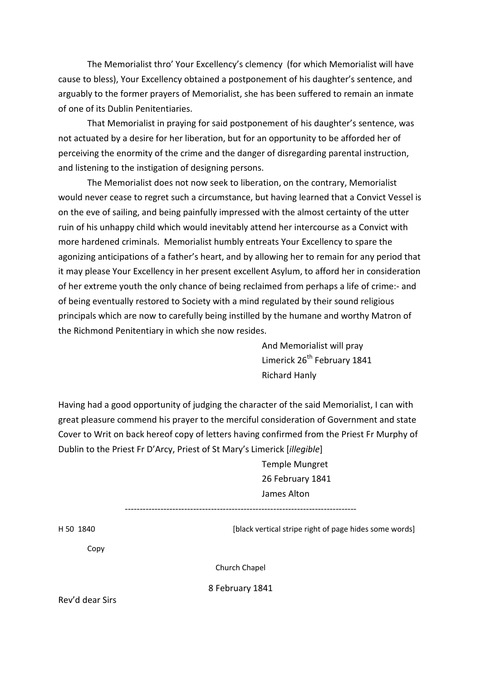The Memorialist thro' Your Excellency's clemency (for which Memorialist will have cause to bless), Your Excellency obtained a postponement of his daughter's sentence, and arguably to the former prayers of Memorialist, she has been suffered to remain an inmate of one of its Dublin Penitentiaries.

 That Memorialist in praying for said postponement of his daughter's sentence, was not actuated by a desire for her liberation, but for an opportunity to be afforded her of perceiving the enormity of the crime and the danger of disregarding parental instruction, and listening to the instigation of designing persons.

 The Memorialist does not now seek to liberation, on the contrary, Memorialist would never cease to regret such a circumstance, but having learned that a Convict Vessel is on the eve of sailing, and being painfully impressed with the almost certainty of the utter ruin of his unhappy child which would inevitably attend her intercourse as a Convict with more hardened criminals. Memorialist humbly entreats Your Excellency to spare the agonizing anticipations of a father's heart, and by allowing her to remain for any period that it may please Your Excellency in her present excellent Asylum, to afford her in consideration of her extreme youth the only chance of being reclaimed from perhaps a life of crime:- and of being eventually restored to Society with a mind regulated by their sound religious principals which are now to carefully being instilled by the humane and worthy Matron of the Richmond Penitentiary in which she now resides.

> And Memorialist will pray Limerick 26<sup>th</sup> February 1841 Richard Hanly

Having had a good opportunity of judging the character of the said Memorialist, I can with great pleasure commend his prayer to the merciful consideration of Government and state Cover to Writ on back hereof copy of letters having confirmed from the Priest Fr Murphy of Dublin to the Priest Fr D'Arcy, Priest of St Mary's Limerick [illegible]

> Temple Mungret 26 February 1841 James Alton

------------------------------------------------------------------------------

H 50 1840 **In the stripe right of page hides some words** [black vertical stripe right of page hides some words]

Copy

Church Chapel

8 February 1841

Rev'd dear Sirs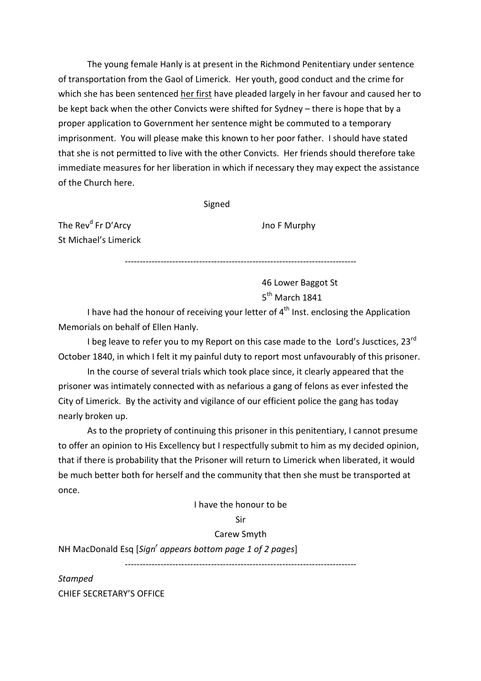The young female Hanly is at present in the Richmond Penitentiary under sentence of transportation from the Gaol of Limerick. Her youth, good conduct and the crime for which she has been sentenced her first have pleaded largely in her favour and caused her to be kept back when the other Convicts were shifted for Sydney – there is hope that by a proper application to Government her sentence might be commuted to a temporary imprisonment. You will please make this known to her poor father. I should have stated that she is not permitted to live with the other Convicts. Her friends should therefore take immediate measures for her liberation in which if necessary they may expect the assistance of the Church here.

Signed

The Rev<sup>d</sup> Fr D'Arcy St Michael's Limerick Jno F Murphy

------------------------------------------------------------------------------

46 Lower Baggot St 5<sup>th</sup> March 1841

I have had the honour of receiving your letter of  $4<sup>th</sup>$  Inst. enclosing the Application Memorials on behalf of Ellen Hanly.

I beg leave to refer you to my Report on this case made to the Lord's Jusctices,  $23^{rd}$ October 1840, in which I felt it my painful duty to report most unfavourably of this prisoner.

 In the course of several trials which took place since, it clearly appeared that the prisoner was intimately connected with as nefarious a gang of felons as ever infested the City of Limerick. By the activity and vigilance of our efficient police the gang has today nearly broken up.

 As to the propriety of continuing this prisoner in this penitentiary, I cannot presume to offer an opinion to His Excellency but I respectfully submit to him as my decided opinion, that if there is probability that the Prisoner will return to Limerick when liberated, it would be much better both for herself and the community that then she must be transported at once.

I have the honour to be

#### Sir

## Carew Smyth

------------------------------------------------------------------------------

NH MacDonald Esq [Sign<sup>'</sup> appears bottom page 1 of 2 pages]

Stamped CHIEF SECRETARY'S OFFICE